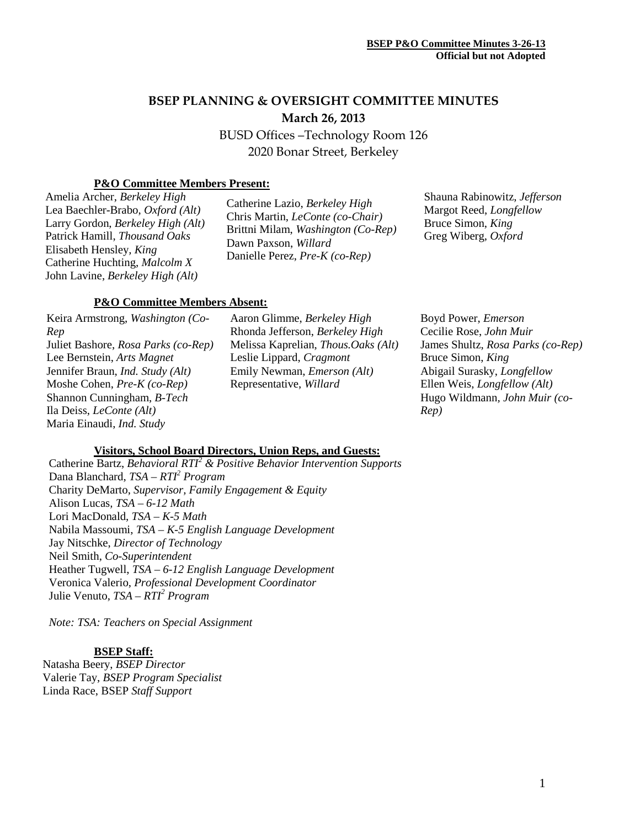# **BSEP PLANNING & OVERSIGHT COMMITTEE MINUTES March 26, 2013**

BUSD Offices –Technology Room 126 2020 Bonar Street, Berkeley

# **P&O Committee Members Present:**

Amelia Archer, *Berkeley High* Lea Baechler-Brabo, *Oxford (Alt)* Larry Gordon, *Berkeley High (Alt)* Patrick Hamill, *Thousand Oaks* Elisabeth Hensley*, King* Catherine Huchting, *Malcolm X* John Lavine, *Berkeley High (Alt)*

Catherine Lazio, *Berkeley High* Chris Martin, *LeConte (co-Chair)* Brittni Milam, *Washington (Co-Rep)* Dawn Paxson, *Willard* Danielle Perez, *Pre-K (co-Rep)*

Shauna Rabinowitz, *Jefferson* Margot Reed, *Longfellow* Bruce Simon, *King* Greg Wiberg, *Oxford*

#### **P&O Committee Members Absent:**

Keira Armstrong, *Washington (Co-Rep* Juliet Bashore, *Rosa Parks (co-Rep)* Lee Bernstein, *Arts Magnet* Jennifer Braun, *Ind. Study (Alt)* Moshe Cohen, *Pre-K (co-Rep)* Shannon Cunningham, *B-Tech* Ila Deiss, *LeConte (Alt)* Maria Einaudi, *Ind. Study*

Aaron Glimme, *Berkeley High* Rhonda Jefferson, *Berkeley High* Melissa Kaprelian, *Thous.Oaks (Alt)* Leslie Lippard, *Cragmont* Emily Newman, *Emerson (Alt)* Representative, *Willard*

Boyd Power, *Emerson* Cecilie Rose, *John Muir* James Shultz, *Rosa Parks (co-Rep)* Bruce Simon, *King* Abigail Surasky, *Longfellow* Ellen Weis, *Longfellow (Alt)* Hugo Wildmann*, John Muir (co-Rep)*

### **Visitors, School Board Directors, Union Reps, and Guests:**

Catherine Bartz, *Behavioral RTI<sup>2</sup> & Positive Behavior Intervention Supports* Dana Blanchard, *TSA – RTI2 Program* Charity DeMarto, *Supervisor, Family Engagement & Equity* Alison Lucas*, TSA – 6-12 Math* Lori MacDonald, *TSA – K-5 Math* Nabila Massoumi, *TSA – K-5 English Language Development* Jay Nitschke, *Director of Technology* Neil Smith, *Co-Superintendent* Heather Tugwell, *TSA – 6-12 English Language Development* Veronica Valerio, *Professional Development Coordinator* Julie Venuto, *TSA – RTI<sup>2</sup> Program*

*Note: TSA: Teachers on Special Assignment*

### **BSEP Staff:**

Natasha Beery, *BSEP Director* Valerie Tay, *BSEP Program Specialist* Linda Race, BSEP *Staff Support*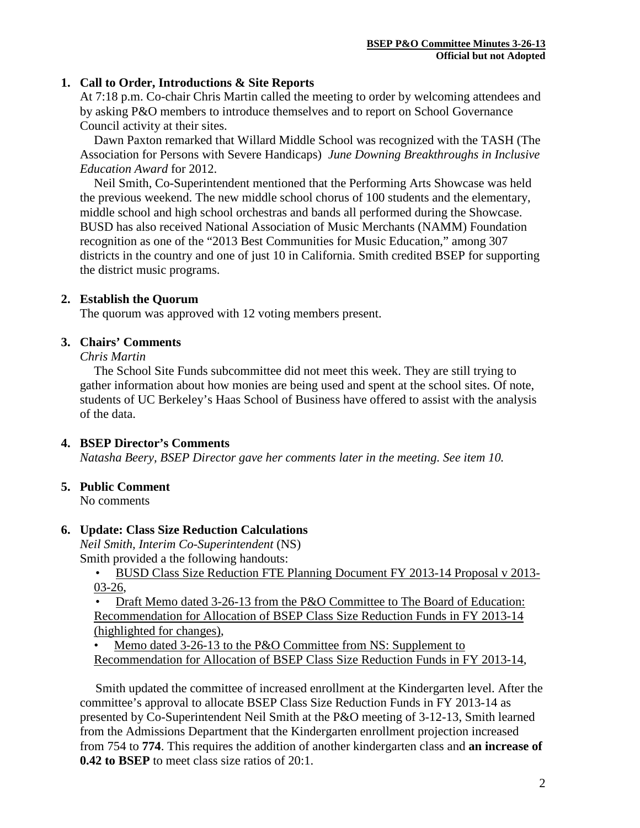# **1. Call to Order, Introductions & Site Reports**

At 7:18 p.m. Co-chair Chris Martin called the meeting to order by welcoming attendees and by asking P&O members to introduce themselves and to report on School Governance Council activity at their sites.

Dawn Paxton remarked that Willard Middle School was recognized with the TASH (The Association for Persons with Severe Handicaps) *June Downing Breakthroughs in Inclusive Education Award* for 2012.

Neil Smith, Co-Superintendent mentioned that the Performing Arts Showcase was held the previous weekend. The new middle school chorus of 100 students and the elementary, middle school and high school orchestras and bands all performed during the Showcase. BUSD has also received National Association of Music Merchants (NAMM) Foundation recognition as one of the "2013 Best Communities for Music Education," among 307 districts in the country and one of just 10 in California. Smith credited BSEP for supporting the district music programs.

# **2. Establish the Quorum**

The quorum was approved with 12 voting members present.

# **3. Chairs' Comments**

*Chris Martin*

The School Site Funds subcommittee did not meet this week. They are still trying to gather information about how monies are being used and spent at the school sites. Of note, students of UC Berkeley's Haas School of Business have offered to assist with the analysis of the data.

# **4. BSEP Director's Comments**

*Natasha Beery, BSEP Director gave her comments later in the meeting. See item 10.*

### **5. Public Comment**

No comments

### **6. Update: Class Size Reduction Calculations**

*Neil Smith, Interim Co-Superintendent* (NS) Smith provided a the following handouts:

 • BUSD Class Size Reduction FTE Planning Document FY 2013-14 Proposal v 2013- 03-26,

 • Draft Memo dated 3-26-13 from the P&O Committee to The Board of Education: Recommendation for Allocation of BSEP Class Size Reduction Funds in FY 2013-14 (highlighted for changes),

Memo dated 3-26-13 to the P&O Committee from NS: Supplement to Recommendation for Allocation of BSEP Class Size Reduction Funds in FY 2013-14,

 Smith updated the committee of increased enrollment at the Kindergarten level. After the committee's approval to allocate BSEP Class Size Reduction Funds in FY 2013-14 as presented by Co-Superintendent Neil Smith at the P&O meeting of 3-12-13, Smith learned from the Admissions Department that the Kindergarten enrollment projection increased from 754 to **774**. This requires the addition of another kindergarten class and **an increase of 0.42 to BSEP** to meet class size ratios of 20:1.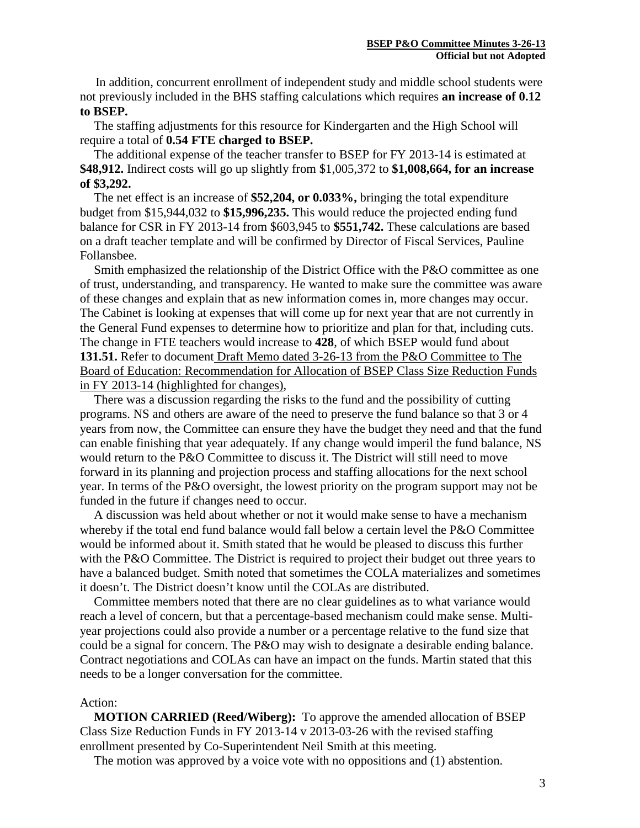In addition, concurrent enrollment of independent study and middle school students were not previously included in the BHS staffing calculations which requires **an increase of 0.12 to BSEP.**

The staffing adjustments for this resource for Kindergarten and the High School will require a total of **0.54 FTE charged to BSEP.**

The additional expense of the teacher transfer to BSEP for FY 2013-14 is estimated at **\$48,912.** Indirect costs will go up slightly from \$1,005,372 to **\$1,008,664, for an increase of \$3,292.**

The net effect is an increase of **\$52,204, or 0.033%,** bringing the total expenditure budget from \$15,944,032 to **\$15,996,235.** This would reduce the projected ending fund balance for CSR in FY 2013-14 from \$603,945 to **\$551,742.** These calculations are based on a draft teacher template and will be confirmed by Director of Fiscal Services, Pauline Follansbee.

Smith emphasized the relationship of the District Office with the P&O committee as one of trust, understanding, and transparency. He wanted to make sure the committee was aware of these changes and explain that as new information comes in, more changes may occur. The Cabinet is looking at expenses that will come up for next year that are not currently in the General Fund expenses to determine how to prioritize and plan for that, including cuts. The change in FTE teachers would increase to **428**, of which BSEP would fund about **131.51.** Refer to document Draft Memo dated 3-26-13 from the P&O Committee to The Board of Education: Recommendation for Allocation of BSEP Class Size Reduction Funds in FY 2013-14 (highlighted for changes),

There was a discussion regarding the risks to the fund and the possibility of cutting programs. NS and others are aware of the need to preserve the fund balance so that 3 or 4 years from now, the Committee can ensure they have the budget they need and that the fund can enable finishing that year adequately. If any change would imperil the fund balance, NS would return to the P&O Committee to discuss it. The District will still need to move forward in its planning and projection process and staffing allocations for the next school year. In terms of the P&O oversight, the lowest priority on the program support may not be funded in the future if changes need to occur.

A discussion was held about whether or not it would make sense to have a mechanism whereby if the total end fund balance would fall below a certain level the P&O Committee would be informed about it. Smith stated that he would be pleased to discuss this further with the P&O Committee. The District is required to project their budget out three years to have a balanced budget. Smith noted that sometimes the COLA materializes and sometimes it doesn't. The District doesn't know until the COLAs are distributed.

Committee members noted that there are no clear guidelines as to what variance would reach a level of concern, but that a percentage-based mechanism could make sense. Multiyear projections could also provide a number or a percentage relative to the fund size that could be a signal for concern. The P&O may wish to designate a desirable ending balance. Contract negotiations and COLAs can have an impact on the funds. Martin stated that this needs to be a longer conversation for the committee.

#### Action:

**MOTION CARRIED (Reed/Wiberg):** To approve the amended allocation of BSEP Class Size Reduction Funds in FY 2013-14 v 2013-03-26 with the revised staffing enrollment presented by Co-Superintendent Neil Smith at this meeting.

The motion was approved by a voice vote with no oppositions and (1) abstention.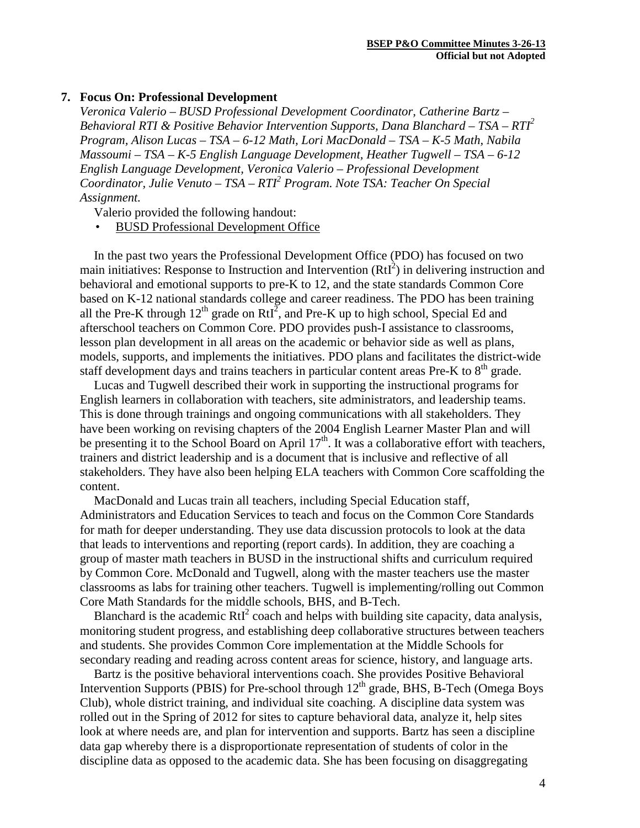#### **7. Focus On: Professional Development**

*Veronica Valerio – BUSD Professional Development Coordinator, Catherine Bartz – Behavioral RTI & Positive Behavior Intervention Supports, Dana Blanchard – TSA – RTI2 Program, Alison Lucas – TSA – 6-12 Math, Lori MacDonald – TSA – K-5 Math, Nabila Massoumi – TSA – K-5 English Language Development, Heather Tugwell – TSA – 6-12 English Language Development, Veronica Valerio – Professional Development Coordinator, Julie Venuto – TSA – RTI2 Program. Note TSA: Teacher On Special Assignment.*

Valerio provided the following handout:

• BUSD Professional Development Office

In the past two years the Professional Development Office (PDO) has focused on two main initiatives: Response to Instruction and Intervention  $(RtI<sup>2</sup>)$  in delivering instruction and behavioral and emotional supports to pre-K to 12, and the state standards Common Core based on K-12 national standards college and career readiness. The PDO has been training all the Pre-K through  $12^{th}$  grade on RtI<sup>2</sup>, and Pre-K up to high school, Special Ed and afterschool teachers on Common Core. PDO provides push-I assistance to classrooms, lesson plan development in all areas on the academic or behavior side as well as plans, models, supports, and implements the initiatives. PDO plans and facilitates the district-wide staff development days and trains teachers in particular content areas Pre-K to  $8<sup>th</sup>$  grade.

Lucas and Tugwell described their work in supporting the instructional programs for English learners in collaboration with teachers, site administrators, and leadership teams. This is done through trainings and ongoing communications with all stakeholders. They have been working on revising chapters of the 2004 English Learner Master Plan and will be presenting it to the School Board on April  $17<sup>th</sup>$ . It was a collaborative effort with teachers, trainers and district leadership and is a document that is inclusive and reflective of all stakeholders. They have also been helping ELA teachers with Common Core scaffolding the content.

MacDonald and Lucas train all teachers, including Special Education staff, Administrators and Education Services to teach and focus on the Common Core Standards for math for deeper understanding. They use data discussion protocols to look at the data that leads to interventions and reporting (report cards). In addition, they are coaching a group of master math teachers in BUSD in the instructional shifts and curriculum required by Common Core. McDonald and Tugwell, along with the master teachers use the master classrooms as labs for training other teachers. Tugwell is implementing/rolling out Common Core Math Standards for the middle schools, BHS, and B-Tech.

Blanchard is the academic  $RtI<sup>2</sup>$  coach and helps with building site capacity, data analysis, monitoring student progress, and establishing deep collaborative structures between teachers and students. She provides Common Core implementation at the Middle Schools for secondary reading and reading across content areas for science, history, and language arts.

Bartz is the positive behavioral interventions coach. She provides Positive Behavioral Intervention Supports (PBIS) for Pre-school through  $12<sup>th</sup>$  grade, BHS, B-Tech (Omega Boys Club), whole district training, and individual site coaching. A discipline data system was rolled out in the Spring of 2012 for sites to capture behavioral data, analyze it, help sites look at where needs are, and plan for intervention and supports. Bartz has seen a discipline data gap whereby there is a disproportionate representation of students of color in the discipline data as opposed to the academic data. She has been focusing on disaggregating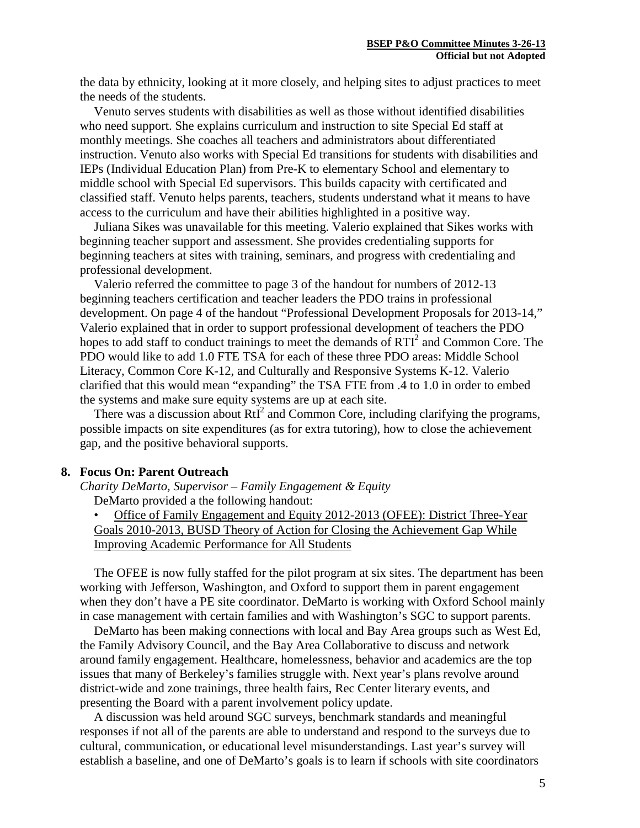the data by ethnicity, looking at it more closely, and helping sites to adjust practices to meet the needs of the students.

Venuto serves students with disabilities as well as those without identified disabilities who need support. She explains curriculum and instruction to site Special Ed staff at monthly meetings. She coaches all teachers and administrators about differentiated instruction. Venuto also works with Special Ed transitions for students with disabilities and IEPs (Individual Education Plan) from Pre-K to elementary School and elementary to middle school with Special Ed supervisors. This builds capacity with certificated and classified staff. Venuto helps parents, teachers, students understand what it means to have access to the curriculum and have their abilities highlighted in a positive way.

Juliana Sikes was unavailable for this meeting. Valerio explained that Sikes works with beginning teacher support and assessment. She provides credentialing supports for beginning teachers at sites with training, seminars, and progress with credentialing and professional development.

Valerio referred the committee to page 3 of the handout for numbers of 2012-13 beginning teachers certification and teacher leaders the PDO trains in professional development. On page 4 of the handout "Professional Development Proposals for 2013-14," Valerio explained that in order to support professional development of teachers the PDO hopes to add staff to conduct trainings to meet the demands of  $RTI<sup>2</sup>$  and Common Core. The PDO would like to add 1.0 FTE TSA for each of these three PDO areas: Middle School Literacy, Common Core K-12, and Culturally and Responsive Systems K-12. Valerio clarified that this would mean "expanding" the TSA FTE from .4 to 1.0 in order to embed the systems and make sure equity systems are up at each site.

There was a discussion about  $RtI<sup>2</sup>$  and Common Core, including clarifying the programs, possible impacts on site expenditures (as for extra tutoring), how to close the achievement gap, and the positive behavioral supports.

#### **8. Focus On: Parent Outreach**

*Charity DeMarto, Supervisor – Family Engagement & Equity* DeMarto provided a the following handout:

• Office of Family Engagement and Equity 2012-2013 (OFEE): District Three-Year Goals 2010-2013, BUSD Theory of Action for Closing the Achievement Gap While Improving Academic Performance for All Students

The OFEE is now fully staffed for the pilot program at six sites. The department has been working with Jefferson, Washington, and Oxford to support them in parent engagement when they don't have a PE site coordinator. DeMarto is working with Oxford School mainly in case management with certain families and with Washington's SGC to support parents.

DeMarto has been making connections with local and Bay Area groups such as West Ed, the Family Advisory Council, and the Bay Area Collaborative to discuss and network around family engagement. Healthcare, homelessness, behavior and academics are the top issues that many of Berkeley's families struggle with. Next year's plans revolve around district-wide and zone trainings, three health fairs, Rec Center literary events, and presenting the Board with a parent involvement policy update.

A discussion was held around SGC surveys, benchmark standards and meaningful responses if not all of the parents are able to understand and respond to the surveys due to cultural, communication, or educational level misunderstandings. Last year's survey will establish a baseline, and one of DeMarto's goals is to learn if schools with site coordinators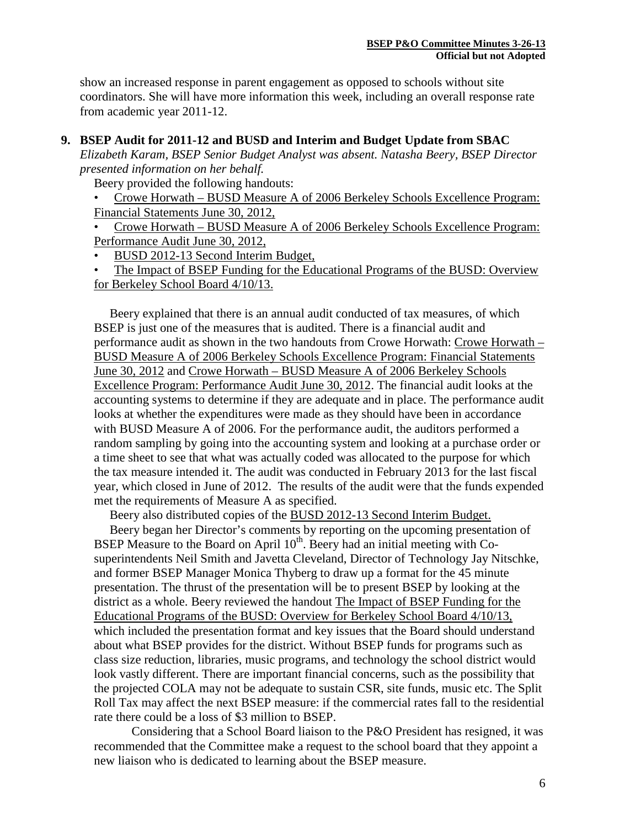show an increased response in parent engagement as opposed to schools without site coordinators. She will have more information this week, including an overall response rate from academic year 2011-12.

# **9. BSEP Audit for 2011-12 and BUSD and Interim and Budget Update from SBAC**

*Elizabeth Karam, BSEP Senior Budget Analyst was absent. Natasha Beery, BSEP Director presented information on her behalf.*

Beery provided the following handouts:

• Crowe Horwath – BUSD Measure A of 2006 Berkeley Schools Excellence Program: Financial Statements June 30, 2012,

• Crowe Horwath – BUSD Measure A of 2006 Berkeley Schools Excellence Program: Performance Audit June 30, 2012,

• BUSD 2012-13 Second Interim Budget,

• The Impact of BSEP Funding for the Educational Programs of the BUSD: Overview for Berkeley School Board 4/10/13.

 Beery explained that there is an annual audit conducted of tax measures, of which BSEP is just one of the measures that is audited. There is a financial audit and performance audit as shown in the two handouts from Crowe Horwath: Crowe Horwath – BUSD Measure A of 2006 Berkeley Schools Excellence Program: Financial Statements June 30, 2012 and Crowe Horwath – BUSD Measure A of 2006 Berkeley Schools Excellence Program: Performance Audit June 30, 2012. The financial audit looks at the accounting systems to determine if they are adequate and in place. The performance audit looks at whether the expenditures were made as they should have been in accordance with BUSD Measure A of 2006. For the performance audit, the auditors performed a random sampling by going into the accounting system and looking at a purchase order or a time sheet to see that what was actually coded was allocated to the purpose for which the tax measure intended it. The audit was conducted in February 2013 for the last fiscal year, which closed in June of 2012. The results of the audit were that the funds expended met the requirements of Measure A as specified.

Beery also distributed copies of the BUSD 2012-13 Second Interim Budget.

 Beery began her Director's comments by reporting on the upcoming presentation of BSEP Measure to the Board on April  $10<sup>th</sup>$ . Beery had an initial meeting with Cosuperintendents Neil Smith and Javetta Cleveland, Director of Technology Jay Nitschke, and former BSEP Manager Monica Thyberg to draw up a format for the 45 minute presentation. The thrust of the presentation will be to present BSEP by looking at the district as a whole. Beery reviewed the handout The Impact of BSEP Funding for the Educational Programs of the BUSD: Overview for Berkeley School Board 4/10/13, which included the presentation format and key issues that the Board should understand about what BSEP provides for the district. Without BSEP funds for programs such as class size reduction, libraries, music programs, and technology the school district would look vastly different. There are important financial concerns, such as the possibility that the projected COLA may not be adequate to sustain CSR, site funds, music etc. The Split Roll Tax may affect the next BSEP measure: if the commercial rates fall to the residential rate there could be a loss of \$3 million to BSEP.

Considering that a School Board liaison to the P&O President has resigned, it was recommended that the Committee make a request to the school board that they appoint a new liaison who is dedicated to learning about the BSEP measure.